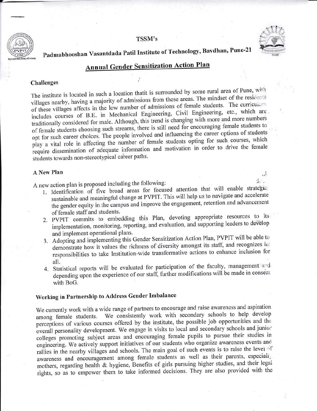#### TSSM's



ا،،

de .

# Padmabhooshan Vasantdada Patil Institute of Technology, Bavdhan, Pune-21

# **Annual Gender Sensitization Action Plan**

### Challenges

The institute is located in such a location thatit is surrounded by some rural area of Pune, with villages nearby, having a majority of admissions from these areas. The mindset of the residents of these villages affects in the low number of admissions of female students. The curriculum includes courses of B.E. in Mechanical Engineering, Civil Engineering, etc., which are traditionally considered for male. Although, this trend is changing with more and more numbers of female students choosing such streams, there is still need for encouraging female students to opt for such career choices. The people involved and influencing the career options of students play a vital role in affecting the number of female students opting for such courses, which require dissemination of adequate information and motivation in order to drive the female students towards non-stereotypical career paths.

#### **A New Plan**

A new action plan is proposed including the following:

- 1. Identification of five broad areas for focused attention that will enable strategic. sustainable and meaningful change at PVPIT. This will help us to navigate and accelerate the gender equity in the campus and improve the engagement, retention and advancement of female staff and students.
- 2. PVPIT commits to embedding this Plan, devoting appropriate resources to its implementation, monitoring, reporting, and evaluation, and supporting leaders to develop and implement operational plans.
- 3. Adopting and implementing this Gender Sensitization Action Plan, PVPIT will be able to demonstrate how it values the richness of diversity amongst its staff, and recognizes its responsibilities to take Institution-wide transformative actions to enhance inclusion for all.
- 4. Statistical reports will be evaluated for participation of the faculty, management and depending upon the experience of our staff, further modifications will be made in consent with BoG.

## Working in Partnership to Address Gender Imbalance

We currently work with a wide range of partners to encourage and raise awareness and aspiration We consistently work with secondary schools to help develop among female students. perceptions of various courses offered by the institute, the possible job opportunities and the overall personality development. We engage in visits to local and secondary schools and junior colleges promoting subject areas and encouraging female pupils to pursue their studies in engineering. We actively support initiatives of our students who organize awareness events and rallies in the nearby villages and schools. The main goal of such events is to raise the level of awareness and encouragement among female students as well as their parents, especialization mothers, regarding health & hygiene, Benefits of girls pursuing higher studies, and their legal rights, so as to empower them to take informed decisions. They are also provided with the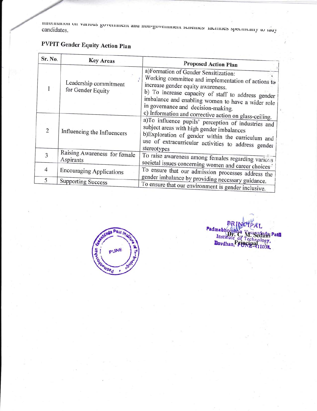miorination on various government and non-government schemes/ racinties specificany to lady candidates.

# **PVPIT Gender Equity Action Plan**

| Sr. No.        | <b>Key Areas</b>                           | <b>Proposed Action Plan</b>                                                                                                                                                                                                                                                                                                                |
|----------------|--------------------------------------------|--------------------------------------------------------------------------------------------------------------------------------------------------------------------------------------------------------------------------------------------------------------------------------------------------------------------------------------------|
|                | Leadership commitment<br>for Gender Equity | a)Formation of Gender Sensitization:<br>Working committee and implementation of actions to<br>increase gender equity awareness.<br>b) To increase capacity of staff to address gender<br>imbalance and enabling women to have a wider role<br>in governance and decision-making.<br>c) Information and corrective action on glass-ceiling. |
| $\overline{2}$ | Influencing the Influencers                | a)To influence pupils' perception of industries and<br>subject areas with high gender imbalances<br>b)Exploration of gender within the curriculum and<br>use of extracurricular activities to address gender<br>stereotypes                                                                                                                |
| $\overline{3}$ | Raising Awareness for female<br>Aspirants  | To raise awareness among females regarding various                                                                                                                                                                                                                                                                                         |
| $\overline{4}$ | <b>Encouraging Applications</b>            | societal issues concerning women and career choices <sup>5</sup><br>To ensure that our admission processes address the<br>gender imbalance by providing necessary guidance.                                                                                                                                                                |
| 5              | <b>Supporting Success</b>                  | To ensure that our environment is gender inclusive                                                                                                                                                                                                                                                                                         |



Padmab **i**a; Patil Inst **Bavdhan** y,  $\overline{\mathbf{32}}$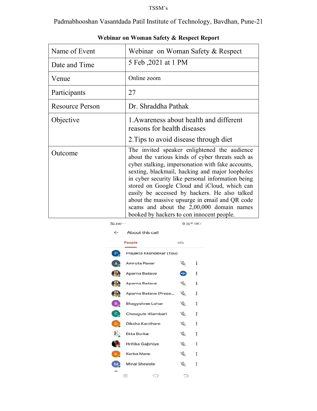### $TSSM$  's  $\,$

Padmabhooshan Vasantdada Patil Institute of Technology, Bavdhan, Pune-21

| Name of Event          | Webinar on Woman Safety & Respect                                                                                                                                                                                                                                                                                                                                                                                                                                                                          |  |  |
|------------------------|------------------------------------------------------------------------------------------------------------------------------------------------------------------------------------------------------------------------------------------------------------------------------------------------------------------------------------------------------------------------------------------------------------------------------------------------------------------------------------------------------------|--|--|
| Date and Time          | 5 Feb, 2021 at 1 PM                                                                                                                                                                                                                                                                                                                                                                                                                                                                                        |  |  |
| Venue                  | Online zoom                                                                                                                                                                                                                                                                                                                                                                                                                                                                                                |  |  |
| Participants           | 27                                                                                                                                                                                                                                                                                                                                                                                                                                                                                                         |  |  |
| <b>Resource Person</b> | Dr. Shraddha Pathak                                                                                                                                                                                                                                                                                                                                                                                                                                                                                        |  |  |
| Objective              | 1. Awareness about health and different<br>reasons for health diseases                                                                                                                                                                                                                                                                                                                                                                                                                                     |  |  |
|                        | 2. Tips to avoid disease through diet                                                                                                                                                                                                                                                                                                                                                                                                                                                                      |  |  |
| Outcome                | The invited speaker enlightened the audience<br>about the various kinds of cyber threats such as<br>cyber stalking, impersonation with fake accounts,<br>sexting, blackmail, hacking and major loopholes<br>in cyber security like personal information being<br>stored on Google Cloud and iCloud, which can<br>easily be accessed by hackers. He also talked<br>about the massive upsurge in email and QR code<br>scams and about the 2,00,000 domain names<br>booked by hackers to con innocent people. |  |  |

 $^{46}_{.111}$  2:43 ...

| Webinar on Woman Safety & Respect Report |  |  |  |
|------------------------------------------|--|--|--|
|                                          |  |  |  |

| $\leftarrow$                  | About this call          |      |   |
|-------------------------------|--------------------------|------|---|
|                               | People                   | Info |   |
| $\overline{P}_4$              | Prajakta Khandekar (You) |      |   |
|                               | Amruta Pawar             | Å.   | ፧ |
|                               | Aparna Badave            | Œ    | ፧ |
|                               | Aparna Badave            | 15   | ፧ |
|                               | Aparna Badave (Prese     | B.   | ፧ |
| $B_{\mu}$                     | <b>Bhagyshree Lohar</b>  | ぶ    | Ξ |
| $c_{\rm c}$                   | Chougule Nilambari       | B.   | ፧ |
| $\overline{D}_{\overline{C}}$ | Diksha Kandhare          | ぶ    | ፧ |
| E.                            | <b>Ekta Borkar</b>       | ぶ    | ፧ |
|                               | Hritika Gajbhiye         | B.   | ፧ |
| κ,                            | Kerba Mane               | B.   | ፧ |
|                               | <b>Minal Shewale</b>     | B.   | ፧ |
|                               | $\overline{1}$           |      |   |

 $D$   $Y_t^{\text{out}}$  40  $(168)$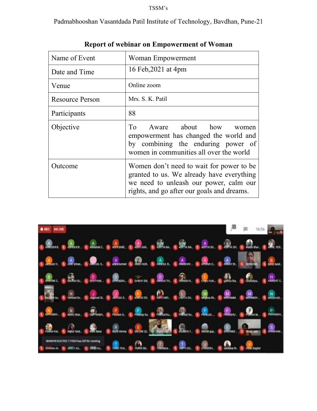## TSSM's

Padmabhooshan Vasantdada Patil Institute of Technology, Bavdhan, Pune-21

| Name of Event                                                                                                                                                                            | Woman Empowerment                                                                                                                                     |  |  |
|------------------------------------------------------------------------------------------------------------------------------------------------------------------------------------------|-------------------------------------------------------------------------------------------------------------------------------------------------------|--|--|
| Date and Time                                                                                                                                                                            | 16 Feb, 2021 at 4pm                                                                                                                                   |  |  |
| Venue                                                                                                                                                                                    | Online zoom                                                                                                                                           |  |  |
| <b>Resource Person</b>                                                                                                                                                                   | Mrs. S. K. Patil                                                                                                                                      |  |  |
| Participants                                                                                                                                                                             | 88                                                                                                                                                    |  |  |
| Objective                                                                                                                                                                                | To Aware about how<br>women<br>empowerment has changed the world and<br>by combining the enduring power of<br>women in communities all over the world |  |  |
| Women don't need to wait for power to be<br>Outcome<br>granted to us. We already have everything<br>we need to unleash our power, calm our<br>rights, and go after our goals and dreams. |                                                                                                                                                       |  |  |

### **Report of webinar on Empowerment of Woman**

| $\bullet$ REC $\bullet$ HUVE |                                                                                                                                                                          | $\frac{1}{2}$ $\frac{1}{2}$ $\frac{1}{2}$ $\frac{1}{2}$ $\frac{1}{2}$ $\frac{1}{2}$ $\frac{1}{2}$ $\frac{1}{2}$ $\frac{1}{2}$ $\frac{1}{2}$ $\frac{1}{2}$ $\frac{1}{2}$ $\frac{1}{2}$ $\frac{1}{2}$ $\frac{1}{2}$ $\frac{1}{2}$ $\frac{1}{2}$ $\frac{1}{2}$ $\frac{1}{2}$ $\frac{1}{2}$ $\frac{1}{2}$ $\frac{1}{2}$ |
|------------------------------|--------------------------------------------------------------------------------------------------------------------------------------------------------------------------|---------------------------------------------------------------------------------------------------------------------------------------------------------------------------------------------------------------------------------------------------------------------------------------------------------------------|
|                              | Duran Duran Ballon College College College Ballon College College College College College Ballon.                                                                        |                                                                                                                                                                                                                                                                                                                     |
|                              | a Davis a Davis a Davis a Lavis a Davis a Davis a Davis a Davis a Davis a Davis a Davis a                                                                                |                                                                                                                                                                                                                                                                                                                     |
|                              | <b>1 MARS &amp; BASIC &amp; BANK &amp; BANKING &amp; DIRECTOR &amp; BANKING &amp; BANKING &amp; BANKING &amp; BANKING &amp; BANKING</b>                                  |                                                                                                                                                                                                                                                                                                                     |
|                              | <u>a 1994 - Albert Chapter C. Albert C. Barnes C. Comme, C. Barnes C. Barnes C. Barnes C. Barnes C. Barnes .</u>                                                         |                                                                                                                                                                                                                                                                                                                     |
|                              | a Maria a Maria a Series a Maria a Maria a Maria a Maria a Maria a Maria a Maria a Maria a Primer                                                                        |                                                                                                                                                                                                                                                                                                                     |
|                              | 1 Marc 19 Marc 19 Marc 19 Marc 19 Marc 19 Marc 19 Marc 19 Marc 19 Marc 19 Marcu                                                                                          |                                                                                                                                                                                                                                                                                                                     |
|                              | MANYIE RUSTOGE 177834 has left the meeting<br>Contain and Contain and Contained to the Table The Contain and Table and Contain and Contained and Contained and Contained |                                                                                                                                                                                                                                                                                                                     |